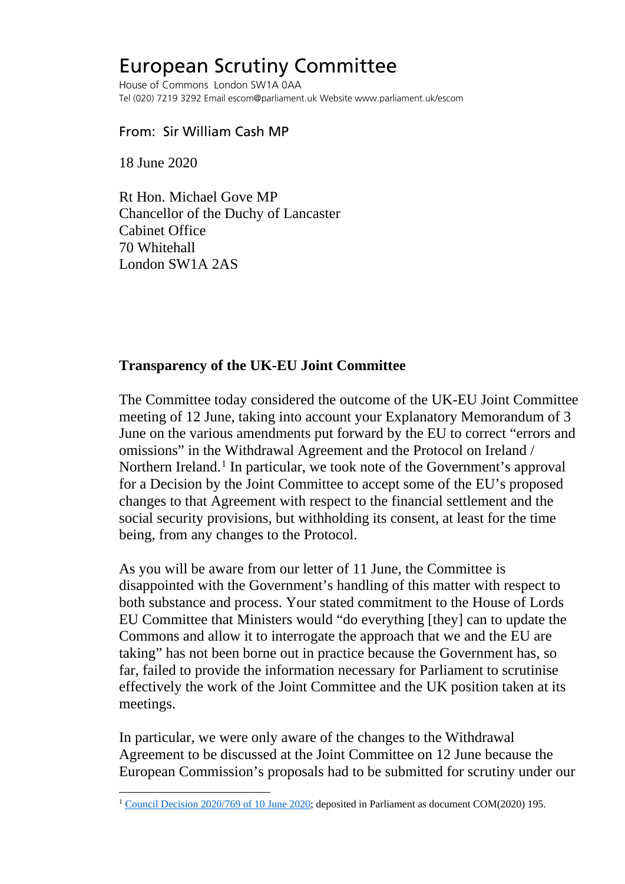# European Scrutiny Committee

House of Commons London SW1A 0AA Tel (020) 7219 3292 Email escom@parliament.uk Website www.parliament.uk/escom

#### From: Sir William Cash MP

18 June 2020

Rt Hon. Michael Gove MP Chancellor of the Duchy of Lancaster Cabinet Office 70 Whitehall London SW1A 2AS

### **Transparency of the UK-EU Joint Committee**

The Committee today considered the outcome of the UK-EU Joint Committee meeting of 12 June, taking into account your Explanatory Memorandum of 3 June on the various amendments put forward by the EU to correct "errors and omissions" in the Withdrawal Agreement and the Protocol on Ireland / Northern Ireland.<sup>[1](#page-0-0)</sup> In particular, we took note of the Government's approval for a Decision by the Joint Committee to accept some of the EU's proposed changes to that Agreement with respect to the financial settlement and the social security provisions, but withholding its consent, at least for the time being, from any changes to the Protocol.

As you will be aware from our letter of 11 June, the Committee is disappointed with the Government's handling of this matter with respect to both substance and process. Your stated commitment to the House of Lords EU Committee that Ministers would "do everything [they] can to update the Commons and allow it to interrogate the approach that we and the EU are taking" has not been borne out in practice because the Government has, so far, failed to provide the information necessary for Parliament to scrutinise effectively the work of the Joint Committee and the UK position taken at its meetings.

In particular, we were only aware of the changes to the Withdrawal Agreement to be discussed at the Joint Committee on 12 June because the European Commission's proposals had to be submitted for scrutiny under our

<span id="page-0-0"></span><sup>&</sup>lt;sup>1</sup> [Council Decision 2020/769 of 10 June 2020;](https://eur-lex.europa.eu/legal-content/EN/TXT/?uri=uriserv:OJ.L_.2020.187.01.0012.01.ENG&toc=OJ:L:2020:187:TOC) deposited in Parliament as document COM(2020) 195.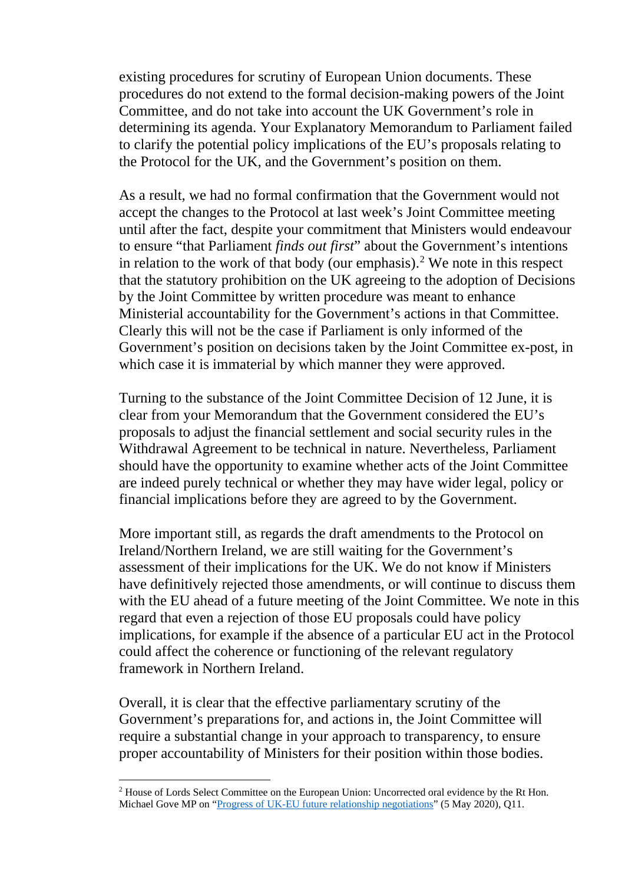existing procedures for scrutiny of European Union documents. These procedures do not extend to the formal decision-making powers of the Joint Committee, and do not take into account the UK Government's role in determining its agenda. Your Explanatory Memorandum to Parliament failed to clarify the potential policy implications of the EU's proposals relating to the Protocol for the UK, and the Government's position on them.

As a result, we had no formal confirmation that the Government would not accept the changes to the Protocol at last week's Joint Committee meeting until after the fact, despite your commitment that Ministers would endeavour to ensure "that Parliament *finds out first*" about the Government's intentions in relation to the work of that body (our emphasis).<sup>[2](#page-1-0)</sup> We note in this respect that the statutory prohibition on the UK agreeing to the adoption of Decisions by the Joint Committee by written procedure was meant to enhance Ministerial accountability for the Government's actions in that Committee. Clearly this will not be the case if Parliament is only informed of the Government's position on decisions taken by the Joint Committee ex-post, in which case it is immaterial by which manner they were approved.

Turning to the substance of the Joint Committee Decision of 12 June, it is clear from your Memorandum that the Government considered the EU's proposals to adjust the financial settlement and social security rules in the Withdrawal Agreement to be technical in nature. Nevertheless, Parliament should have the opportunity to examine whether acts of the Joint Committee are indeed purely technical or whether they may have wider legal, policy or financial implications before they are agreed to by the Government.

More important still, as regards the draft amendments to the Protocol on Ireland/Northern Ireland, we are still waiting for the Government's assessment of their implications for the UK. We do not know if Ministers have definitively rejected those amendments, or will continue to discuss them with the EU ahead of a future meeting of the Joint Committee. We note in this regard that even a rejection of those EU proposals could have policy implications, for example if the absence of a particular EU act in the Protocol could affect the coherence or functioning of the relevant regulatory framework in Northern Ireland.

Overall, it is clear that the effective parliamentary scrutiny of the Government's preparations for, and actions in, the Joint Committee will require a substantial change in your approach to transparency, to ensure proper accountability of Ministers for their position within those bodies.

<span id="page-1-0"></span><sup>&</sup>lt;sup>2</sup> House of Lords Select Committee on the European Union: Uncorrected oral evidence by the Rt Hon. Michael Gove MP on ["Progress of UK-EU future relationship negotiations"](https://committees.parliament.uk/oralevidence/344/pdf/#page=11) (5 May 2020), Q11.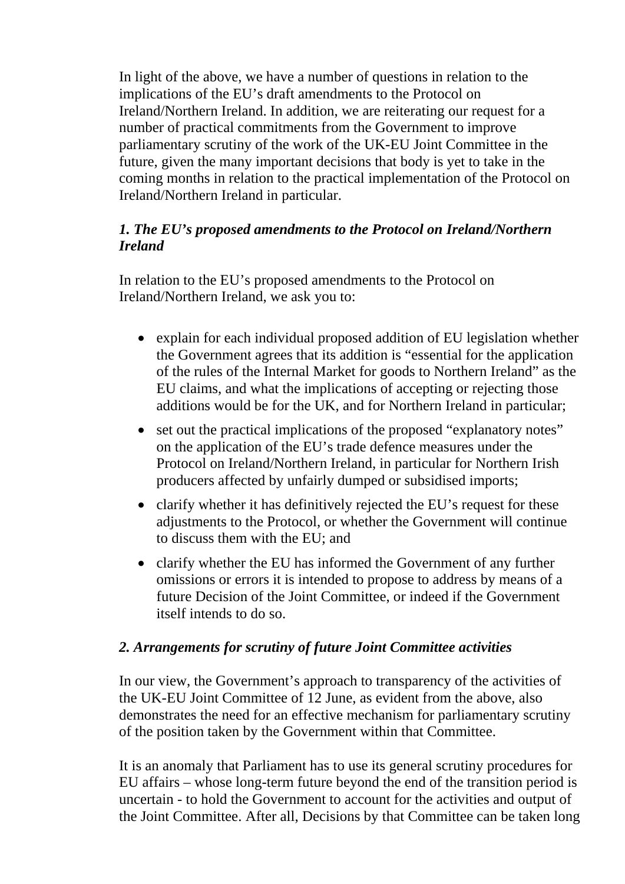In light of the above, we have a number of questions in relation to the implications of the EU's draft amendments to the Protocol on Ireland/Northern Ireland. In addition, we are reiterating our request for a number of practical commitments from the Government to improve parliamentary scrutiny of the work of the UK-EU Joint Committee in the future, given the many important decisions that body is yet to take in the coming months in relation to the practical implementation of the Protocol on Ireland/Northern Ireland in particular.

# *1. The EU's proposed amendments to the Protocol on Ireland/Northern Ireland*

In relation to the EU's proposed amendments to the Protocol on Ireland/Northern Ireland, we ask you to:

- explain for each individual proposed addition of EU legislation whether the Government agrees that its addition is "essential for the application of the rules of the Internal Market for goods to Northern Ireland" as the EU claims, and what the implications of accepting or rejecting those additions would be for the UK, and for Northern Ireland in particular;
- set out the practical implications of the proposed "explanatory notes" on the application of the EU's trade defence measures under the Protocol on Ireland/Northern Ireland, in particular for Northern Irish producers affected by unfairly dumped or subsidised imports;
- clarify whether it has definitively rejected the EU's request for these adjustments to the Protocol, or whether the Government will continue to discuss them with the EU; and
- clarify whether the EU has informed the Government of any further omissions or errors it is intended to propose to address by means of a future Decision of the Joint Committee, or indeed if the Government itself intends to do so.

# *2. Arrangements for scrutiny of future Joint Committee activities*

In our view, the Government's approach to transparency of the activities of the UK-EU Joint Committee of 12 June, as evident from the above, also demonstrates the need for an effective mechanism for parliamentary scrutiny of the position taken by the Government within that Committee.

It is an anomaly that Parliament has to use its general scrutiny procedures for EU affairs – whose long-term future beyond the end of the transition period is uncertain - to hold the Government to account for the activities and output of the Joint Committee. After all, Decisions by that Committee can be taken long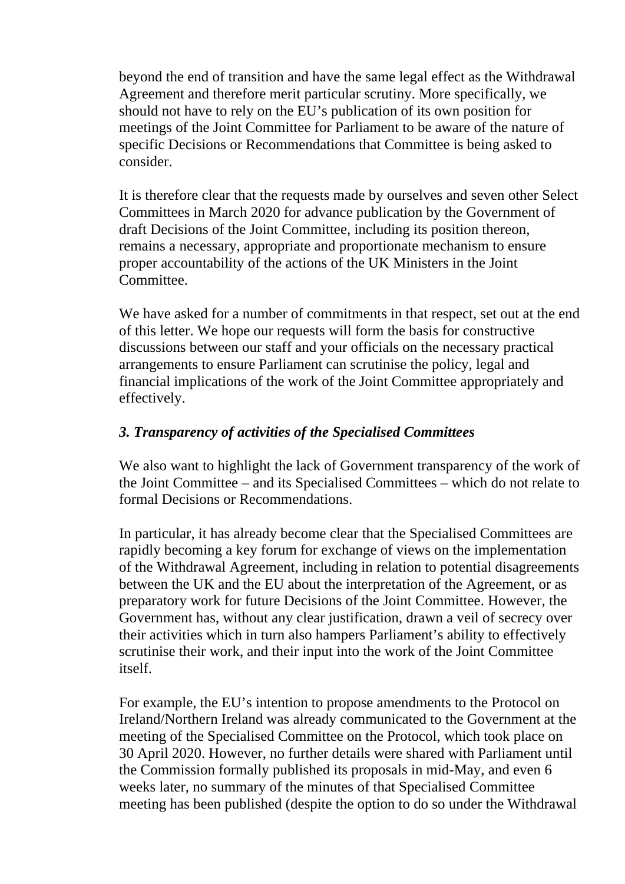beyond the end of transition and have the same legal effect as the Withdrawal Agreement and therefore merit particular scrutiny. More specifically, we should not have to rely on the EU's publication of its own position for meetings of the Joint Committee for Parliament to be aware of the nature of specific Decisions or Recommendations that Committee is being asked to consider.

It is therefore clear that the requests made by ourselves and seven other Select Committees in March 2020 for advance publication by the Government of draft Decisions of the Joint Committee, including its position thereon, remains a necessary, appropriate and proportionate mechanism to ensure proper accountability of the actions of the UK Ministers in the Joint Committee.

We have asked for a number of commitments in that respect, set out at the end of this letter. We hope our requests will form the basis for constructive discussions between our staff and your officials on the necessary practical arrangements to ensure Parliament can scrutinise the policy, legal and financial implications of the work of the Joint Committee appropriately and effectively.

### *3. Transparency of activities of the Specialised Committees*

We also want to highlight the lack of Government transparency of the work of the Joint Committee – and its Specialised Committees – which do not relate to formal Decisions or Recommendations.

In particular, it has already become clear that the Specialised Committees are rapidly becoming a key forum for exchange of views on the implementation of the Withdrawal Agreement, including in relation to potential disagreements between the UK and the EU about the interpretation of the Agreement, or as preparatory work for future Decisions of the Joint Committee. However, the Government has, without any clear justification, drawn a veil of secrecy over their activities which in turn also hampers Parliament's ability to effectively scrutinise their work, and their input into the work of the Joint Committee itself.

For example, the EU's intention to propose amendments to the Protocol on Ireland/Northern Ireland was already communicated to the Government at the meeting of the Specialised Committee on the Protocol, which took place on 30 April 2020. However, no further details were shared with Parliament until the Commission formally published its proposals in mid-May, and even 6 weeks later, no summary of the minutes of that Specialised Committee meeting has been published (despite the option to do so under the Withdrawal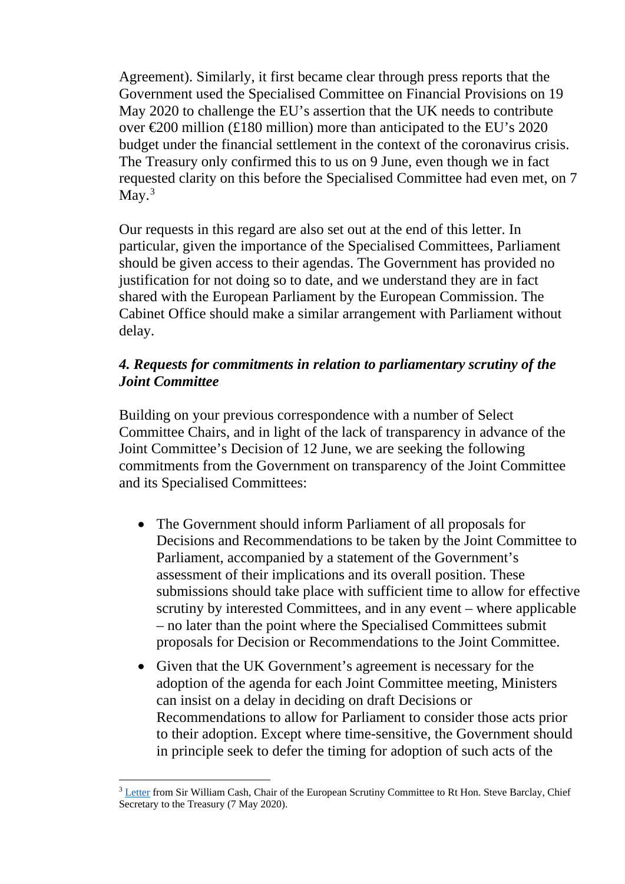Agreement). Similarly, it first became clear through press reports that the Government used the Specialised Committee on Financial Provisions on 19 May 2020 to challenge the EU's assertion that the UK needs to contribute over  $\epsilon$  200 million (£180 million) more than anticipated to the EU's 2020 budget under the financial settlement in the context of the coronavirus crisis. The Treasury only confirmed this to us on 9 June, even though we in fact requested clarity on this before the Specialised Committee had even met, on 7 May. $3$ 

Our requests in this regard are also set out at the end of this letter. In particular, given the importance of the Specialised Committees, Parliament should be given access to their agendas. The Government has provided no justification for not doing so to date, and we understand they are in fact shared with the European Parliament by the European Commission. The Cabinet Office should make a similar arrangement with Parliament without delay.

#### *4. Requests for commitments in relation to parliamentary scrutiny of the Joint Committee*

Building on your previous correspondence with a number of Select Committee Chairs, and in light of the lack of transparency in advance of the Joint Committee's Decision of 12 June, we are seeking the following commitments from the Government on transparency of the Joint Committee and its Specialised Committees:

- The Government should inform Parliament of all proposals for Decisions and Recommendations to be taken by the Joint Committee to Parliament, accompanied by a statement of the Government's assessment of their implications and its overall position. These submissions should take place with sufficient time to allow for effective scrutiny by interested Committees, and in any event – where applicable – no later than the point where the Specialised Committees submit proposals for Decision or Recommendations to the Joint Committee.
- Given that the UK Government's agreement is necessary for the adoption of the agenda for each Joint Committee meeting, Ministers can insist on a delay in deciding on draft Decisions or Recommendations to allow for Parliament to consider those acts prior to their adoption. Except where time-sensitive, the Government should in principle seek to defer the timing for adoption of such acts of the

<span id="page-4-0"></span><sup>&</sup>lt;sup>3</sup> [Letter](https://committees.parliament.uk/publications/1029/documents/8476/default/) from Sir William Cash, Chair of the European Scrutiny Committee to Rt Hon. Steve Barclay, Chief Secretary to the Treasury (7 May 2020).